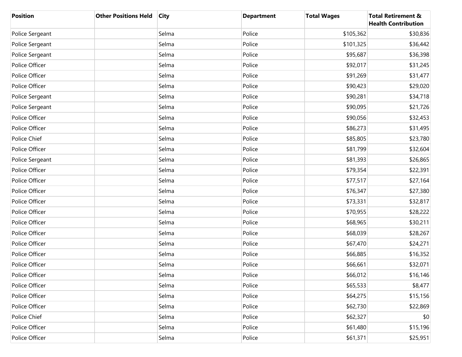| <b>Position</b> | <b>Other Positions Held</b> | <b>City</b> | <b>Department</b> | <b>Total Wages</b> | <b>Total Retirement &amp;</b><br><b>Health Contribution</b> |
|-----------------|-----------------------------|-------------|-------------------|--------------------|-------------------------------------------------------------|
| Police Sergeant |                             | Selma       | Police            | \$105,362          | \$30,836                                                    |
| Police Sergeant |                             | Selma       | Police            | \$101,325          | \$36,442                                                    |
| Police Sergeant |                             | Selma       | Police            | \$95,687           | \$36,398                                                    |
| Police Officer  |                             | Selma       | Police            | \$92,017           | \$31,245                                                    |
| Police Officer  |                             | Selma       | Police            | \$91,269           | \$31,477                                                    |
| Police Officer  |                             | Selma       | Police            | \$90,423           | \$29,020                                                    |
| Police Sergeant |                             | Selma       | Police            | \$90,281           | \$34,718                                                    |
| Police Sergeant |                             | Selma       | Police            | \$90,095           | \$21,726                                                    |
| Police Officer  |                             | Selma       | Police            | \$90,056           | \$32,453                                                    |
| Police Officer  |                             | Selma       | Police            | \$86,273           | \$31,495                                                    |
| Police Chief    |                             | Selma       | Police            | \$85,805           | \$23,780                                                    |
| Police Officer  |                             | Selma       | Police            | \$81,799           | \$32,604                                                    |
| Police Sergeant |                             | Selma       | Police            | \$81,393           | \$26,865                                                    |
| Police Officer  |                             | Selma       | Police            | \$79,354           | \$22,391                                                    |
| Police Officer  |                             | Selma       | Police            | \$77,517           | \$27,164                                                    |
| Police Officer  |                             | Selma       | Police            | \$76,347           | \$27,380                                                    |
| Police Officer  |                             | Selma       | Police            | \$73,331           | \$32,817                                                    |
| Police Officer  |                             | Selma       | Police            | \$70,955           | \$28,222                                                    |
| Police Officer  |                             | Selma       | Police            | \$68,965           | \$30,211                                                    |
| Police Officer  |                             | Selma       | Police            | \$68,039           | \$28,267                                                    |
| Police Officer  |                             | Selma       | Police            | \$67,470           | \$24,271                                                    |
| Police Officer  |                             | Selma       | Police            | \$66,885           | \$16,352                                                    |
| Police Officer  |                             | Selma       | Police            | \$66,661           | \$32,071                                                    |
| Police Officer  |                             | Selma       | Police            | \$66,012           | \$16,146                                                    |
| Police Officer  |                             | Selma       | Police            | \$65,533           | \$8,477                                                     |
| Police Officer  |                             | Selma       | Police            | \$64,275           | \$15,156                                                    |
| Police Officer  |                             | Selma       | Police            | \$62,730           | \$22,869                                                    |
| Police Chief    |                             | Selma       | Police            | \$62,327           | \$0                                                         |
| Police Officer  |                             | Selma       | Police            | \$61,480           | \$15,196                                                    |
| Police Officer  |                             | Selma       | Police            | \$61,371           | \$25,951                                                    |